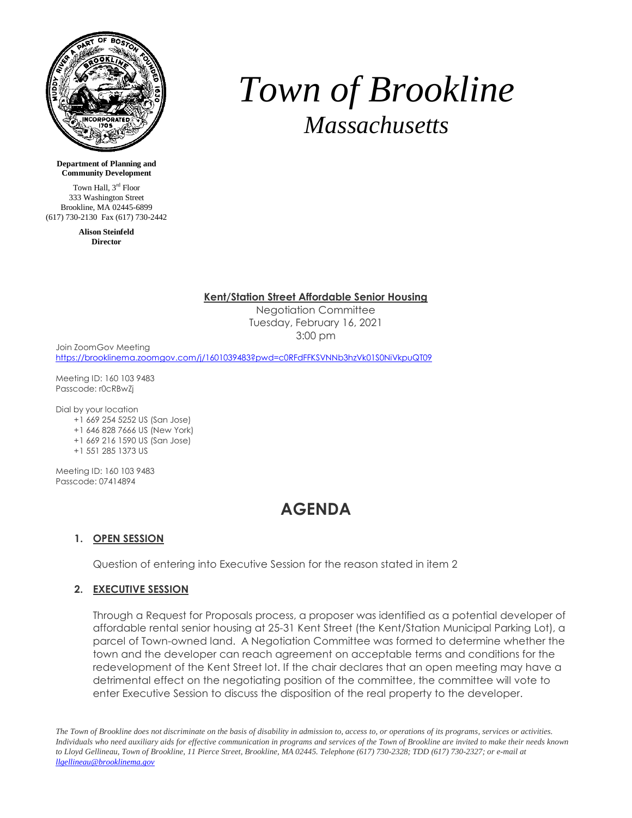

# *Town of Brookline Massachusetts*

**Department of Planning and Community Development**

Town Hall, 3<sup>rd</sup> Floor 333 Washington Street Brookline, MA 02445-6899 (617) 730-2130 Fax (617) 730-2442

> **Alison Steinfeld Director**

#### **Kent/Station Street Affordable Senior Housing**

Negotiation Committee Tuesday, February 16, 2021 3:00 pm

Join ZoomGov Meeting <https://brooklinema.zoomgov.com/j/1601039483?pwd=c0RFdFFKSVNNb3hzVk01S0NiVkpuQT09>

Meeting ID: 160 103 9483 Passcode: r0cRBwZj

Dial by your location

- +1 669 254 5252 US (San Jose)
- +1 646 828 7666 US (New York)
- +1 669 216 1590 US (San Jose)
- +1 551 285 1373 US

Meeting ID: 160 103 9483 Passcode: 07414894

# **AGENDA**

## **1. OPEN SESSION**

Question of entering into Executive Session for the reason stated in item 2

## **2. EXECUTIVE SESSION**

Through a Request for Proposals process, a proposer was identified as a potential developer of affordable rental senior housing at 25-31 Kent Street (the Kent/Station Municipal Parking Lot), a parcel of Town-owned land. A Negotiation Committee was formed to determine whether the town and the developer can reach agreement on acceptable terms and conditions for the redevelopment of the Kent Street lot. If the chair declares that an open meeting may have a detrimental effect on the negotiating position of the committee, the committee will vote to enter Executive Session to discuss the disposition of the real property to the developer.

The Town of Brookline does not discriminate on the basis of disability in admission to, access to, or operations of its programs, services or activities. Individuals who need auxiliary aids for effective communication in programs and services of the Town of Brookline are invited to make their needs known to Lloyd Gellineau, Town of Brookline, 11 Pierce Street, Brookline, MA 02445. Telephone (617) 730-2328; TDD (617) 730-2327; or e-mail at *llgellineau@brooklinema.gov*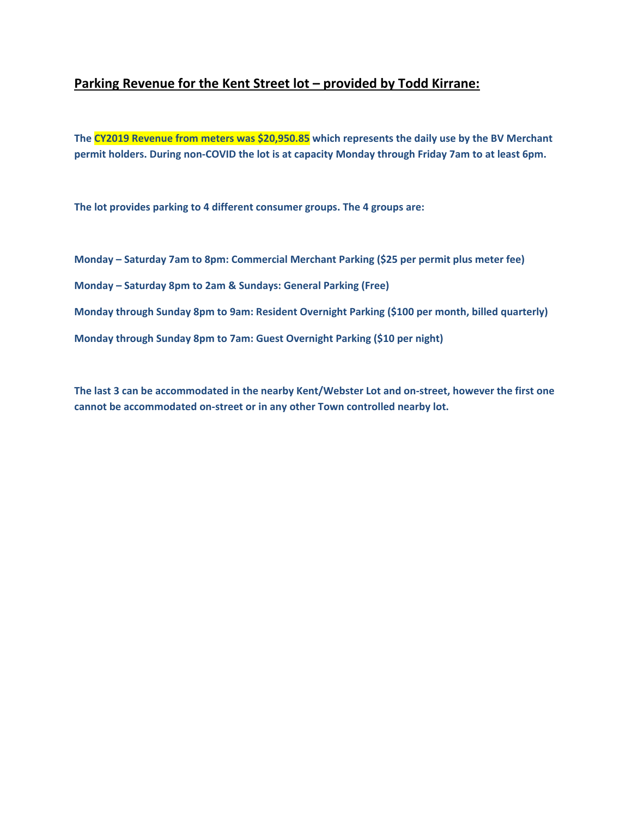# **Parking Revenue for the Kent Street lot – provided by Todd Kirrane:**

**The CY2019 Revenue from meters was \$20,950.85 which represents the daily use by the BV Merchant permit holders. During non‐COVID the lot is at capacity Monday through Friday 7am to at least 6pm.** 

**The lot provides parking to 4 different consumer groups. The 4 groups are:** 

**Monday – Saturday 7am to 8pm: Commercial Merchant Parking (\$25 per permit plus meter fee) Monday – Saturday 8pm to 2am & Sundays: General Parking (Free) Monday through Sunday 8pm to 9am: Resident Overnight Parking (\$100 per month, billed quarterly) Monday through Sunday 8pm to 7am: Guest Overnight Parking (\$10 per night)** 

**The last 3 can be accommodated in the nearby Kent/Webster Lot and on‐street, however the first one cannot be accommodated on‐street or in any other Town controlled nearby lot.**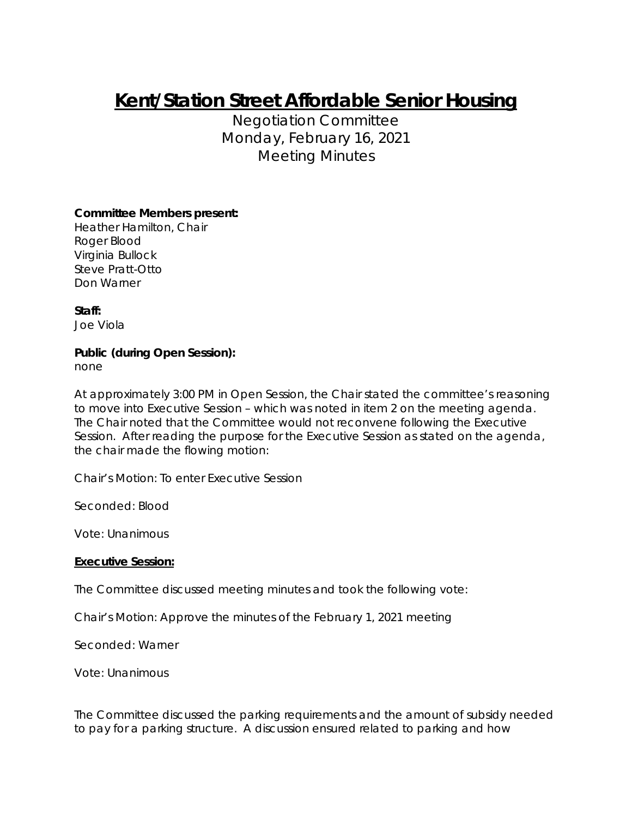# **Kent/Station Street Affordable Senior Housing**

Negotiation Committee Monday, February 16, 2021 Meeting Minutes

# **Committee Members present:**

Heather Hamilton, Chair Roger Blood Virginia Bullock Steve Pratt-Otto Don Warner

**Staff:**  Joe Viola

# **Public (during Open Session):**

none

At approximately 3:00 PM in Open Session, the Chair stated the committee's reasoning to move into Executive Session – which was noted in item 2 on the meeting agenda. The Chair noted that the Committee would not reconvene following the Executive Session. After reading the purpose for the Executive Session as stated on the agenda, the chair made the flowing motion:

Chair's Motion: To enter Executive Session

Seconded: Blood

Vote: Unanimous

## **Executive Session:**

The Committee discussed meeting minutes and took the following vote:

Chair's Motion: Approve the minutes of the February 1, 2021 meeting

Seconded: Warner

Vote: Unanimous

The Committee discussed the parking requirements and the amount of subsidy needed to pay for a parking structure. A discussion ensured related to parking and how